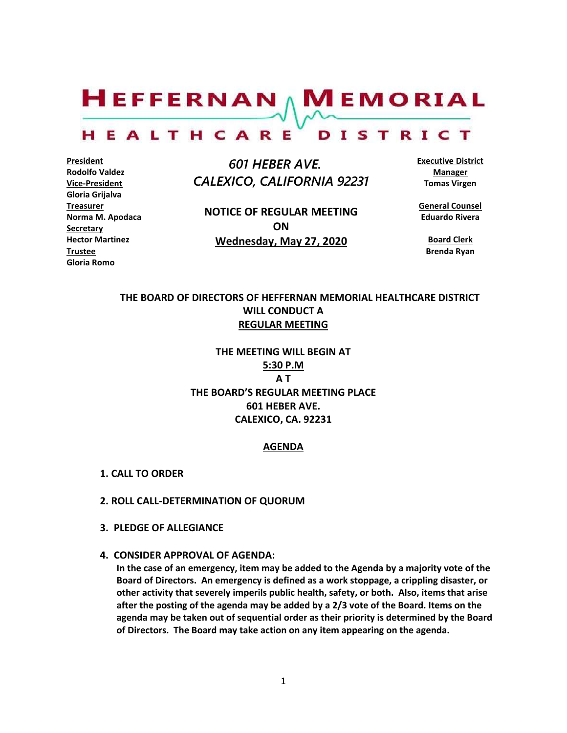$H$ EFFERNAN  $\wedge$  M EMORIAL HEALTHCARE DISTRICT

**President Rodolfo Valdez Vice-President Gloria Grijalva Treasurer Norma M. Apodaca Secretary Hector Martinez Trustee Gloria Romo**

 *601 HEBER AVE. CALEXICO, CALIFORNIA 92231*

**NOTICE OF REGULAR MEETING ON Wednesday, May 27, 2020**

**Executive District Manager Tomas Virgen**

**General Counsel Eduardo Rivera**

**Board Clerk Brenda Ryan**

#### **THE BOARD OF DIRECTORS OF HEFFERNAN MEMORIAL HEALTHCARE DISTRICT WILL CONDUCT A REGULAR MEETING**

**THE MEETING WILL BEGIN AT 5:30 P.M A T THE BOARD'S REGULAR MEETING PLACE 601 HEBER AVE. CALEXICO, CA. 92231**

#### **AGENDA**

- **1. CALL TO ORDER**
- **2. ROLL CALL-DETERMINATION OF QUORUM**
- **3. PLEDGE OF ALLEGIANCE**
- **4. CONSIDER APPROVAL OF AGENDA:**

**In the case of an emergency, item may be added to the Agenda by a majority vote of the Board of Directors. An emergency is defined as a work stoppage, a crippling disaster, or other activity that severely imperils public health, safety, or both. Also, items that arise after the posting of the agenda may be added by a 2/3 vote of the Board. Items on the agenda may be taken out of sequential order as their priority is determined by the Board of Directors. The Board may take action on any item appearing on the agenda.**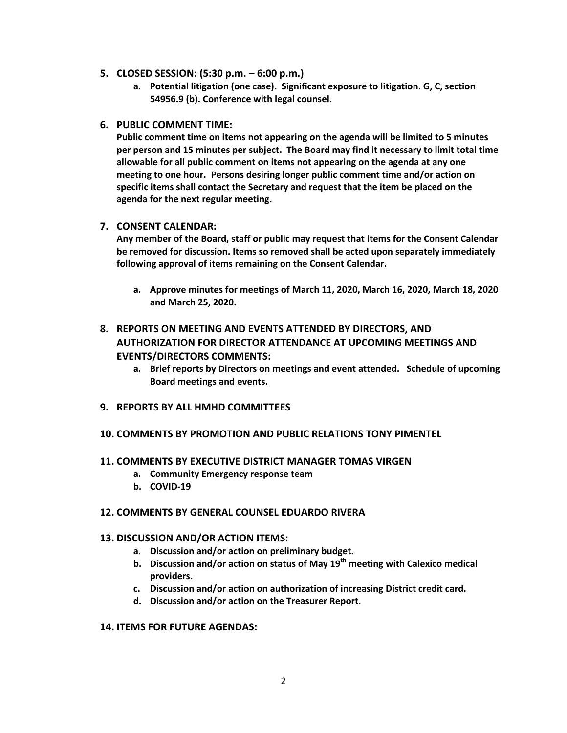- **5. CLOSED SESSION: (5:30 p.m. – 6:00 p.m.)**
	- **a. Potential litigation (one case). Significant exposure to litigation. G, C, section 54956.9 (b). Conference with legal counsel.**
- **6. PUBLIC COMMENT TIME:**

**Public comment time on items not appearing on the agenda will be limited to 5 minutes per person and 15 minutes per subject. The Board may find it necessary to limit total time allowable for all public comment on items not appearing on the agenda at any one meeting to one hour. Persons desiring longer public comment time and/or action on specific items shall contact the Secretary and request that the item be placed on the agenda for the next regular meeting.**

#### **7. CONSENT CALENDAR:**

**Any member of the Board, staff or public may request that items for the Consent Calendar be removed for discussion. Items so removed shall be acted upon separately immediately following approval of items remaining on the Consent Calendar.**

**a. Approve minutes for meetings of March 11, 2020, March 16, 2020, March 18, 2020 and March 25, 2020.**

### **8. REPORTS ON MEETING AND EVENTS ATTENDED BY DIRECTORS, AND AUTHORIZATION FOR DIRECTOR ATTENDANCE AT UPCOMING MEETINGS AND EVENTS/DIRECTORS COMMENTS:**

- **a. Brief reports by Directors on meetings and event attended. Schedule of upcoming Board meetings and events.**
- **9. REPORTS BY ALL HMHD COMMITTEES**
- **10. COMMENTS BY PROMOTION AND PUBLIC RELATIONS TONY PIMENTEL**
- **11. COMMENTS BY EXECUTIVE DISTRICT MANAGER TOMAS VIRGEN**
	- **a. Community Emergency response team**
	- **b. COVID-19**

#### **12. COMMENTS BY GENERAL COUNSEL EDUARDO RIVERA**

#### **13. DISCUSSION AND/OR ACTION ITEMS:**

- **a. Discussion and/or action on preliminary budget.**
- **b. Discussion and/or action on status of May 19th meeting with Calexico medical providers.**
- **c. Discussion and/or action on authorization of increasing District credit card.**
- **d. Discussion and/or action on the Treasurer Report.**

#### **14. ITEMS FOR FUTURE AGENDAS:**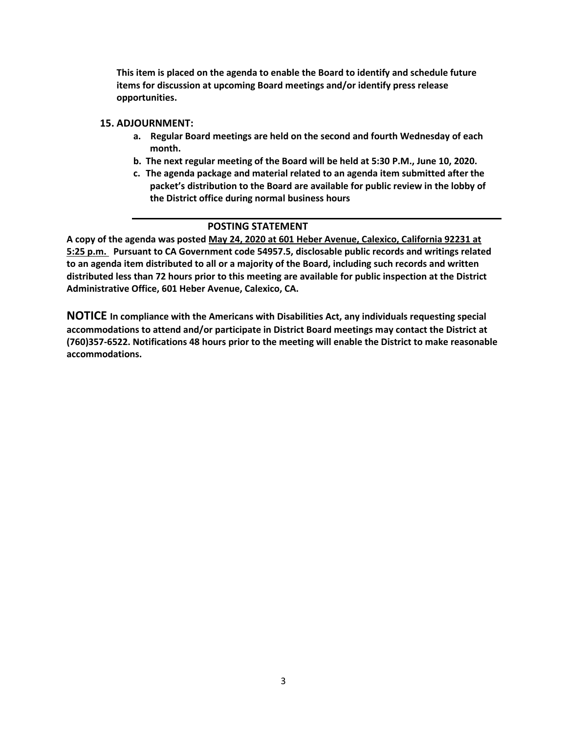**This item is placed on the agenda to enable the Board to identify and schedule future items for discussion at upcoming Board meetings and/or identify press release opportunities.**

#### **15. ADJOURNMENT:**

- **a. Regular Board meetings are held on the second and fourth Wednesday of each month.**
- **b. The next regular meeting of the Board will be held at 5:30 P.M., June 10, 2020.**
- **c. The agenda package and material related to an agenda item submitted after the packet's distribution to the Board are available for public review in the lobby of the District office during normal business hours**

#### **POSTING STATEMENT**

**A copy of the agenda was posted May 24, 2020 at 601 Heber Avenue, Calexico, California 92231 at 5:25 p.m. Pursuant to CA Government code 54957.5, disclosable public records and writings related to an agenda item distributed to all or a majority of the Board, including such records and written distributed less than 72 hours prior to this meeting are available for public inspection at the District Administrative Office, 601 Heber Avenue, Calexico, CA.**

**NOTICE In compliance with the Americans with Disabilities Act, any individuals requesting special accommodations to attend and/or participate in District Board meetings may contact the District at (760)357-6522. Notifications 48 hours prior to the meeting will enable the District to make reasonable accommodations.**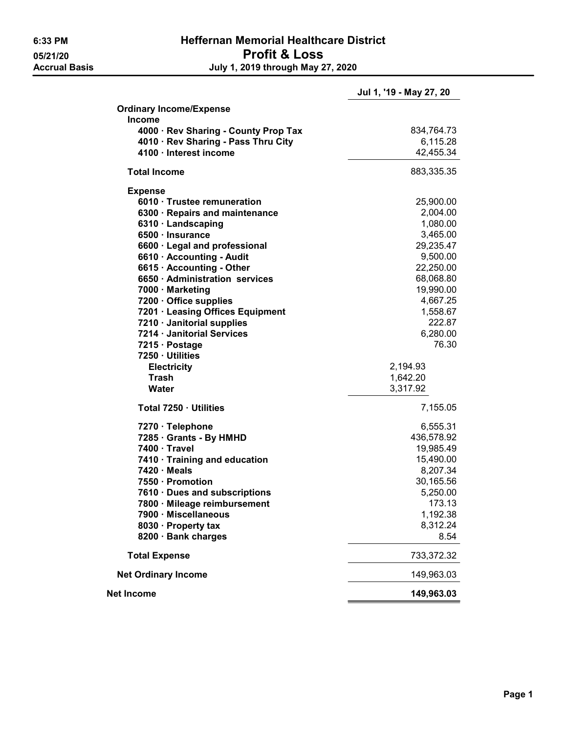## 6:33 PM Heffernan Memorial Healthcare District 05/21/20 Profit & Loss<br>Accrual Basis degree of the July 1, 2019 through May 2 July 1, 2019 through May 27, 2020

|                                                                                              | Jul 1, '19 - May 27, 20 |
|----------------------------------------------------------------------------------------------|-------------------------|
| <b>Ordinary Income/Expense</b>                                                               |                         |
| <b>Income</b><br>4000 · Rev Sharing - County Prop Tax<br>4010 · Rev Sharing - Pass Thru City | 834,764.73<br>6,115.28  |
| 4100 · Interest income                                                                       | 42,455.34               |
| <b>Total Income</b>                                                                          | 883,335.35              |
| <b>Expense</b>                                                                               |                         |
| 6010 · Trustee remuneration                                                                  | 25,900.00               |
| 6300 · Repairs and maintenance                                                               | 2,004.00                |
| 6310 · Landscaping                                                                           | 1,080.00                |
| 6500 · Insurance                                                                             | 3,465.00                |
| 6600 · Legal and professional                                                                | 29,235.47               |
| 6610 · Accounting - Audit                                                                    | 9,500.00                |
| 6615 · Accounting - Other                                                                    | 22,250.00               |
| 6650 · Administration services                                                               | 68,068.80               |
| 7000 · Marketing                                                                             | 19,990.00               |
| 7200 · Office supplies                                                                       | 4,667.25                |
| 7201 · Leasing Offices Equipment                                                             | 1,558.67                |
| 7210 · Janitorial supplies                                                                   | 222.87                  |
| 7214 · Janitorial Services                                                                   | 6,280.00                |
| 7215 · Postage                                                                               | 76.30                   |
| 7250 · Utilities                                                                             |                         |
| <b>Electricity</b>                                                                           | 2,194.93                |
| <b>Trash</b>                                                                                 | 1,642.20                |
| Water                                                                                        | 3,317.92                |
| Total 7250 · Utilities                                                                       | 7,155.05                |
| 7270 · Telephone                                                                             | 6,555.31                |
| 7285 Grants - By HMHD                                                                        | 436,578.92              |
| 7400 · Travel                                                                                | 19,985.49               |
| 7410 · Training and education                                                                | 15,490.00               |
| $7420 \cdot Meals$                                                                           | 8,207.34                |
| 7550 · Promotion                                                                             | 30,165.56               |
| 7610 · Dues and subscriptions                                                                | 5,250.00                |
| 7800 · Mileage reimbursement                                                                 | 173.13                  |
| 7900 · Miscellaneous                                                                         | 1,192.38                |
| 8030 · Property tax                                                                          | 8,312.24                |
| 8200 · Bank charges                                                                          | 8.54                    |
| <b>Total Expense</b>                                                                         | 733,372.32              |
| <b>Net Ordinary Income</b>                                                                   | 149,963.03              |
| Net Income                                                                                   | 149,963.03              |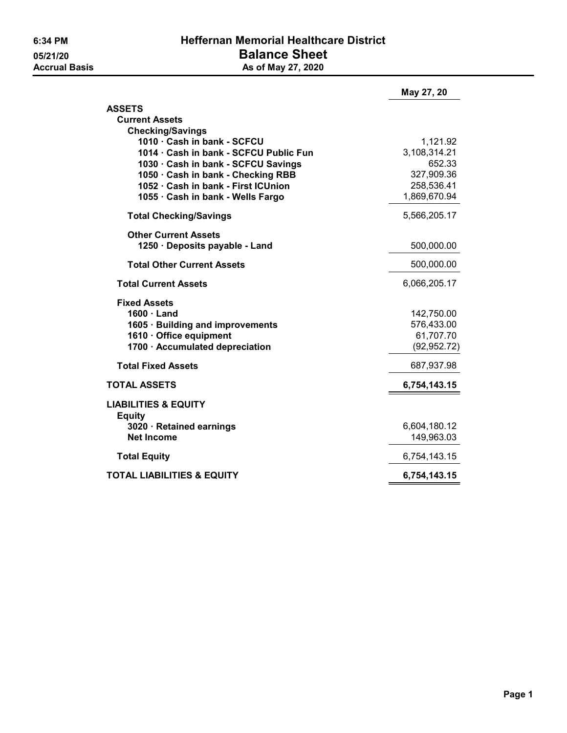|                                                  | May 27, 20   |
|--------------------------------------------------|--------------|
| <b>ASSETS</b><br><b>Current Assets</b>           |              |
| <b>Checking/Savings</b>                          |              |
| 1010 · Cash in bank - SCFCU                      | 1,121.92     |
| 1014 · Cash in bank - SCFCU Public Fun           | 3,108,314.21 |
| 1030 · Cash in bank - SCFCU Savings              | 652.33       |
| 1050 · Cash in bank - Checking RBB               | 327,909.36   |
| 1052 · Cash in bank - First ICUnion              | 258,536.41   |
| 1055 · Cash in bank - Wells Fargo                | 1,869,670.94 |
| <b>Total Checking/Savings</b>                    | 5,566,205.17 |
| <b>Other Current Assets</b>                      |              |
| 1250 · Deposits payable - Land                   | 500,000.00   |
| <b>Total Other Current Assets</b>                | 500,000.00   |
| <b>Total Current Assets</b>                      | 6,066,205.17 |
| <b>Fixed Assets</b>                              |              |
| $1600 \cdot$ Land                                | 142,750.00   |
| 1605 · Building and improvements                 | 576,433.00   |
| 1610 · Office equipment                          | 61,707.70    |
| 1700 · Accumulated depreciation                  | (92, 952.72) |
| <b>Total Fixed Assets</b>                        | 687,937.98   |
| <b>TOTAL ASSETS</b>                              | 6,754,143.15 |
| <b>LIABILITIES &amp; EQUITY</b><br><b>Equity</b> |              |
| 3020 · Retained earnings                         | 6,604,180.12 |
| <b>Net Income</b>                                | 149,963.03   |
| <b>Total Equity</b>                              | 6,754,143.15 |
| <b>TOTAL LIABILITIES &amp; EQUITY</b>            | 6,754,143.15 |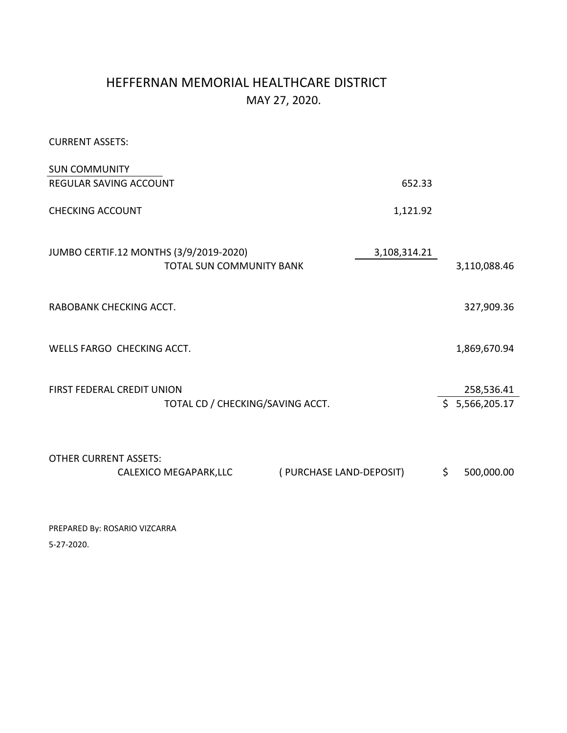## HEFFERNAN MEMORIAL HEALTHCARE DISTRICT MAY 27, 2020.

CURRENT ASSETS:

| <b>SUN COMMUNITY</b>              |                                                                    |                         |                              |
|-----------------------------------|--------------------------------------------------------------------|-------------------------|------------------------------|
| <b>REGULAR SAVING ACCOUNT</b>     |                                                                    | 652.33                  |                              |
| <b>CHECKING ACCOUNT</b>           |                                                                    | 1,121.92                |                              |
|                                   | JUMBO CERTIF.12 MONTHS (3/9/2019-2020)<br>TOTAL SUN COMMUNITY BANK | 3,108,314.21            | 3,110,088.46                 |
| RABOBANK CHECKING ACCT.           |                                                                    |                         | 327,909.36                   |
| WELLS FARGO CHECKING ACCT.        |                                                                    |                         | 1,869,670.94                 |
| <b>FIRST FEDERAL CREDIT UNION</b> | TOTAL CD / CHECKING/SAVING ACCT.                                   |                         | 258,536.41<br>\$5,566,205.17 |
| <b>OTHER CURRENT ASSETS:</b>      | CALEXICO MEGAPARK, LLC                                             | (PURCHASE LAND-DEPOSIT) | \$<br>500,000.00             |

PREPARED By: ROSARIO VIZCARRA 5-27-2020.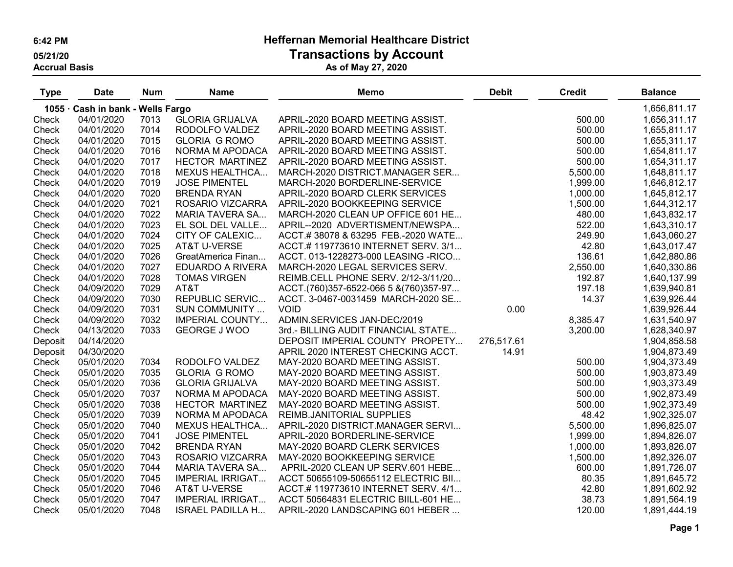# 6:42 PM Heffernan Memorial Healthcare District

05/21/20 Transactions by Account

Accrual Basis As of May 27, 2020

| <b>Type</b> | <b>Date</b>                       | <b>Num</b> | <b>Name</b>             | <b>Memo</b>                           | <b>Debit</b> | <b>Credit</b> | <b>Balance</b> |
|-------------|-----------------------------------|------------|-------------------------|---------------------------------------|--------------|---------------|----------------|
|             | 1055 · Cash in bank - Wells Fargo |            |                         |                                       |              |               | 1,656,811.17   |
| Check       | 04/01/2020                        | 7013       | <b>GLORIA GRIJALVA</b>  | APRIL-2020 BOARD MEETING ASSIST.      |              | 500.00        | 1,656,311.17   |
| Check       | 04/01/2020                        | 7014       | RODOLFO VALDEZ          | APRIL-2020 BOARD MEETING ASSIST.      |              | 500.00        | 1,655,811.17   |
| Check       | 04/01/2020                        | 7015       | <b>GLORIA G ROMO</b>    | APRIL-2020 BOARD MEETING ASSIST.      |              | 500.00        | 1,655,311.17   |
| Check       | 04/01/2020                        | 7016       | NORMA M APODACA         | APRIL-2020 BOARD MEETING ASSIST.      |              | 500.00        | 1,654,811.17   |
| Check       | 04/01/2020                        | 7017       | HECTOR MARTINEZ         | APRIL-2020 BOARD MEETING ASSIST.      |              | 500.00        | 1,654,311.17   |
| Check       | 04/01/2020                        | 7018       | <b>MEXUS HEALTHCA</b>   | MARCH-2020 DISTRICT.MANAGER SER       |              | 5,500.00      | 1,648,811.17   |
| Check       | 04/01/2020                        | 7019       | <b>JOSE PIMENTEL</b>    | MARCH-2020 BORDERLINE-SERVICE         |              | 1,999.00      | 1,646,812.17   |
| Check       | 04/01/2020                        | 7020       | <b>BRENDA RYAN</b>      | APRIL-2020 BOARD CLERK SERVICES       |              | 1,000.00      | 1,645,812.17   |
| Check       | 04/01/2020                        | 7021       | ROSARIO VIZCARRA        | APRIL-2020 BOOKKEEPING SERVICE        |              | 1,500.00      | 1,644,312.17   |
| Check       | 04/01/2020                        | 7022       | MARIA TAVERA SA         | MARCH-2020 CLEAN UP OFFICE 601 HE     |              | 480.00        | 1,643,832.17   |
| Check       | 04/01/2020                        | 7023       | EL SOL DEL VALLE        | APRIL--2020 ADVERTISMENT/NEWSPA       |              | 522.00        | 1,643,310.17   |
| Check       | 04/01/2020                        | 7024       | CITY OF CALEXIC         | ACCT.#38078 & 63295 FEB.-2020 WATE    |              | 249.90        | 1,643,060.27   |
| Check       | 04/01/2020                        | 7025       | AT&T U-VERSE            | ACCT.#119773610 INTERNET SERV. 3/1    |              | 42.80         | 1,643,017.47   |
| Check       | 04/01/2020                        | 7026       | GreatAmerica Finan      | ACCT. 013-1228273-000 LEASING -RICO   |              | 136.61        | 1,642,880.86   |
| Check       | 04/01/2020                        | 7027       | EDUARDO A RIVERA        | MARCH-2020 LEGAL SERVICES SERV.       |              | 2,550.00      | 1,640,330.86   |
| Check       | 04/01/2020                        | 7028       | <b>TOMAS VIRGEN</b>     | REIMB.CELL PHONE SERV. 2/12-3/11/20   |              | 192.87        | 1,640,137.99   |
| Check       | 04/09/2020                        | 7029       | AT&T                    | ACCT.(760)357-6522-066 5 &(760)357-97 |              | 197.18        | 1,639,940.81   |
| Check       | 04/09/2020                        | 7030       | <b>REPUBLIC SERVIC</b>  | ACCT. 3-0467-0031459 MARCH-2020 SE    |              | 14.37         | 1,639,926.44   |
| Check       | 04/09/2020                        | 7031       | SUN COMMUNITY           | <b>VOID</b>                           | 0.00         |               | 1,639,926.44   |
| Check       | 04/09/2020                        | 7032       | <b>IMPERIAL COUNTY</b>  | ADMIN.SERVICES JAN-DEC/2019           |              | 8,385.47      | 1,631,540.97   |
| Check       | 04/13/2020                        | 7033       | <b>GEORGE J WOO</b>     | 3rd.- BILLING AUDIT FINANCIAL STATE   |              | 3,200.00      | 1,628,340.97   |
| Deposit     | 04/14/2020                        |            |                         | DEPOSIT IMPERIAL COUNTY PROPETY       | 276,517.61   |               | 1,904,858.58   |
| Deposit     | 04/30/2020                        |            |                         | APRIL 2020 INTEREST CHECKING ACCT.    | 14.91        |               | 1,904,873.49   |
| Check       | 05/01/2020                        | 7034       | RODOLFO VALDEZ          | MAY-2020 BOARD MEETING ASSIST.        |              | 500.00        | 1,904,373.49   |
| Check       | 05/01/2020                        | 7035       | <b>GLORIA G ROMO</b>    | MAY-2020 BOARD MEETING ASSIST.        |              | 500.00        | 1,903,873.49   |
| Check       | 05/01/2020                        | 7036       | <b>GLORIA GRIJALVA</b>  | MAY-2020 BOARD MEETING ASSIST.        |              | 500.00        | 1,903,373.49   |
| Check       | 05/01/2020                        | 7037       | NORMA M APODACA         | MAY-2020 BOARD MEETING ASSIST.        |              | 500.00        | 1,902,873.49   |
| Check       | 05/01/2020                        | 7038       | HECTOR MARTINEZ         | MAY-2020 BOARD MEETING ASSIST.        |              | 500.00        | 1,902,373.49   |
| Check       | 05/01/2020                        | 7039       | NORMA M APODACA         | REIMB.JANITORIAL SUPPLIES             |              | 48.42         | 1,902,325.07   |
| Check       | 05/01/2020                        | 7040       | <b>MEXUS HEALTHCA</b>   | APRIL-2020 DISTRICT.MANAGER SERVI     |              | 5,500.00      | 1,896,825.07   |
| Check       | 05/01/2020                        | 7041       | <b>JOSE PIMENTEL</b>    | APRIL-2020 BORDERLINE-SERVICE         |              | 1,999.00      | 1,894,826.07   |
| Check       | 05/01/2020                        | 7042       | <b>BRENDA RYAN</b>      | MAY-2020 BOARD CLERK SERVICES         |              | 1,000.00      | 1,893,826.07   |
| Check       | 05/01/2020                        | 7043       | ROSARIO VIZCARRA        | MAY-2020 BOOKKEEPING SERVICE          |              | 1,500.00      | 1,892,326.07   |
| Check       | 05/01/2020                        | 7044       | <b>MARIA TAVERA SA</b>  | APRIL-2020 CLEAN UP SERV.601 HEBE     |              | 600.00        | 1,891,726.07   |
| Check       | 05/01/2020                        | 7045       | <b>IMPERIAL IRRIGAT</b> | ACCT 50655109-50655112 ELECTRIC BII   |              | 80.35         | 1,891,645.72   |
| Check       | 05/01/2020                        | 7046       | AT&T U-VERSE            | ACCT.#119773610 INTERNET SERV. 4/1    |              | 42.80         | 1,891,602.92   |
| Check       | 05/01/2020                        | 7047       | <b>IMPERIAL IRRIGAT</b> | ACCT 50564831 ELECTRIC BIILL-601 HE   |              | 38.73         | 1,891,564.19   |
| Check       | 05/01/2020                        | 7048       | <b>ISRAEL PADILLA H</b> | APRIL-2020 LANDSCAPING 601 HEBER      |              | 120.00        | 1,891,444.19   |